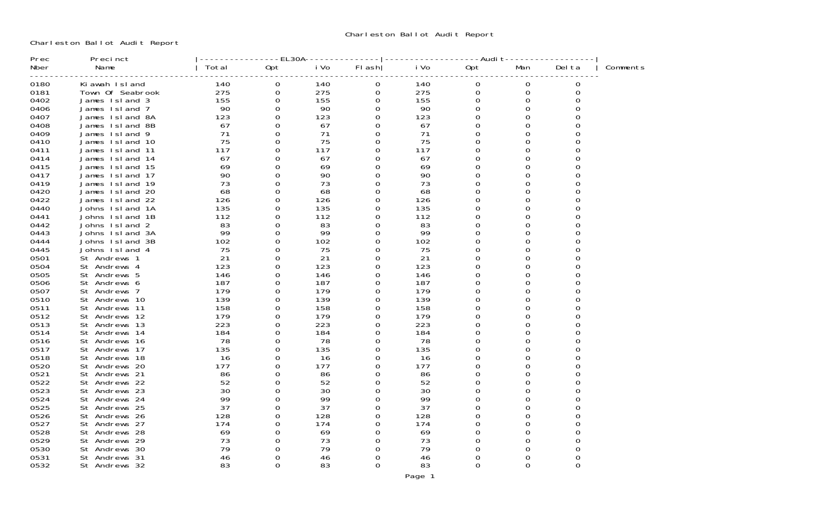Charleston Ballot Audit Report

| Prec | Precinct           |       | $-EL30A$ |      |          |      | $-$ --Audit  |     |          |          |
|------|--------------------|-------|----------|------|----------|------|--------------|-----|----------|----------|
| Nber | Name               | Total | Opt      | i Vo | FI ash   | i Vo | Opt          | Man | Del ta   | Comments |
| 0180 | Ki awah Island     | 140   | 0        | 140  | 0        | 140  | 0            | 0   | 0        |          |
| 0181 | Town Of Seabrook   | 275   | 0        | 275  | 0        | 275  | 0            | 0   | 0        |          |
| 0402 | James Island 3     | 155   | 0        | 155  | 0        | 155  | $\Omega$     | 0   |          |          |
| 0406 | James Island 7     | 90    | 0        | 90   | 0        | 90   | 0            | 0   |          |          |
| 0407 | James Island 8A    | 123   | 0        | 123  | 0        | 123  | 0            | O   |          |          |
| 0408 | James Island 8B    | 67    | 0        | 67   | 0        | 67   | <sup>o</sup> | O   |          |          |
| 0409 | James Island 9     | 71    | $\Omega$ | 71   | 0        | 71   | 0            |     |          |          |
| 0410 | James Island 10    | 75    | 0        | 75   | 0        | 75   | 0            | 0   | 0        |          |
| 0411 | James Island 11    | 117   | 0        | 117  | O        | 117  | 0            | O   | 0        |          |
| 0414 | James Island 14    | 67    | 0        | 67   | O        | 67   | $\Omega$     | O   | $\Omega$ |          |
| 0415 | James Island 15    | 69    | $\Omega$ | 69   | $\Omega$ | 69   | $\Omega$     | O   | $\Omega$ |          |
| 0417 | James Island 17    | 90    | 0        | 90   | 0        | 90   | 0            | O   | ∩        |          |
| 0419 | James Island 19    | 73    | $\Omega$ | 73   | O        | 73   | $\Omega$     | O   | 0        |          |
| 0420 | James Island 20    | 68    | 0        | 68   | O        | 68   | $\Omega$     | O   | $\Omega$ |          |
| 0422 | James 1sl and 22   | 126   | $\Omega$ | 126  | 0        | 126  | 0            | O   | 0        |          |
| 0440 | Johns Island<br>1A | 135   | 0        | 135  | 0        | 135  | O            | O   |          |          |
| 0441 | Johns Island 1B    | 112   | $\Omega$ | 112  | 0        | 112  | 0            | 0   | 0        |          |
| 0442 | Johns Island<br>2  | 83    | $\Omega$ | 83   | 0        | 83   | $\Omega$     | O   |          |          |
| 0443 | Johns Island 3A    | 99    | 0        | 99   | 0        | 99   | 0            | 0   | 0        |          |
| 0444 | Johns Island 3B    | 102   | 0        | 102  | 0        | 102  | 0            | ∩   |          |          |
| 0445 | Johns Island 4     | 75    | $\Omega$ | 75   | 0        | 75   | 0            | 0   | 0        |          |
| 0501 | St Andrews 1       | 21    | 0        | 21   | 0        | 21   | $\Omega$     |     |          |          |
| 0504 | St Andrews 4       | 123   | 0        | 123  | 0        | 123  | 0            | U   | ∩        |          |
| 0505 | St Andrews 5       | 146   | 0        | 146  | 0        | 146  | O            |     |          |          |
| 0506 | St Andrews 6       | 187   | 0        | 187  | 0        | 187  | 0            | O   |          |          |
| 0507 | St Andrews 7       | 179   | $\Omega$ | 179  | 0        | 179  | O            |     |          |          |
| 0510 | St Andrews 10      | 139   | 0        | 139  | 0        | 139  | 0            | O   |          |          |
| 0511 | St Andrews 11      | 158   | $\Omega$ | 158  | 0        | 158  | O            | U   |          |          |
| 0512 | St Andrews 12      | 179   | 0        | 179  | 0        | 179  | <sup>o</sup> | 0   |          |          |
| 0513 | St Andrews 13      | 223   | $\Omega$ | 223  | 0        | 223  | $\Omega$     | U   |          |          |
| 0514 | St Andrews 14      | 184   | 0        | 184  | 0        | 184  | 0            | 0   |          |          |
| 0516 | St Andrews 16      | 78    | 0        | 78   | $\Omega$ | 78   | 0            | U   |          |          |
| 0517 | St Andrews 17      | 135   | $\Omega$ | 135  | $\Omega$ | 135  | $\Omega$     | 0   | 0        |          |
| 0518 | St Andrews 18      | 16    | $\Omega$ | 16   | $\Omega$ | -16  | $\Omega$     | U   |          |          |
| 0520 | St Andrews 20      | 177   | 0        | 177  | 0        | 177  | 0            | O   |          |          |
| 0521 | St Andrews 21      | 86    | $\Omega$ | 86   | U        | 86   | 0            | ∩   |          |          |
| 0522 | St Andrews 22      | 52    | $\Omega$ | 52   | 0        | 52   | $\Omega$     | 0   |          |          |
| 0523 | St Andrews 23      | 30    | $\Omega$ | 30   | 0        | 30   | 0            | U   |          |          |
| 0524 | St Andrews 24      | 99    | 0        | 99   | 0        | 99   | 0            | 0   |          |          |
| 0525 | St Andrews 25      | 37    | $\Omega$ | 37   | 0        | 37   | 0            | U   |          |          |
| 0526 | St Andrews 26      | 128   | $\Omega$ | 128  | 0        | 128  | 0            | 0   |          |          |
| 0527 | St Andrews 27      | 174   | 0        | 174  | 0        | 174  | 0            | U   |          |          |
| 0528 | St Andrews 28      | 69    | 0        | 69   | 0        | 69   | 0            | O   |          |          |
| 0529 | St Andrews 29      | 73    | 0        | 73   | 0        | 73   | <sup>o</sup> |     |          |          |
| 0530 | St Andrews 30      | 79    | 0        | 79   | 0        | 79   | 0            |     |          |          |
| 0531 | St Andrews 31      | 46    | 0        | 46   | 0        | 46   | 0            |     |          |          |
| 0532 | St Andrews 32      | 83    | 0        | 83   | 0        | 83   | 0            | 0   | 0        |          |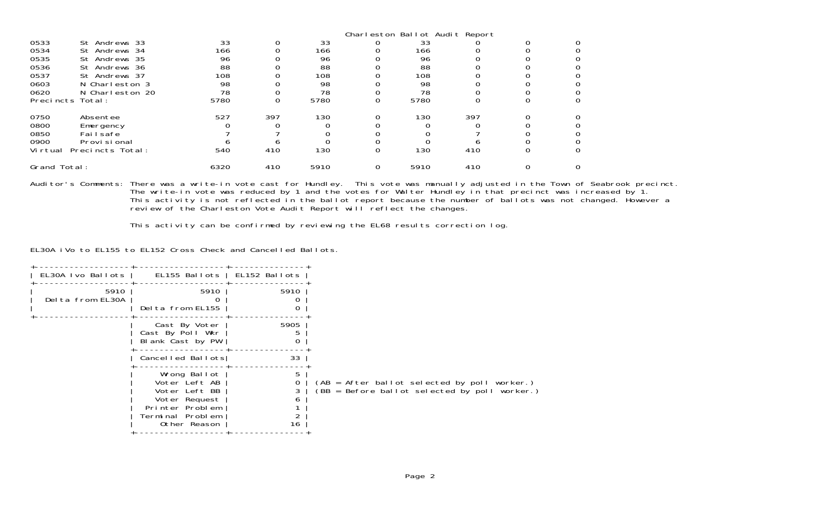|              |                  |      |     |      | Charleston Ballot Audit Report |      |     |  |
|--------------|------------------|------|-----|------|--------------------------------|------|-----|--|
| 0533         | St Andrews 33    | 33   |     | 33   |                                | 33   |     |  |
| 0534         | St Andrews 34    | 166  |     | 166  |                                | 166  |     |  |
| 0535         | St Andrews 35    | 96   |     | 96   |                                | 96   |     |  |
| 0536         | St Andrews 36    | 88   |     | 88   |                                | 88   |     |  |
| 0537         | St Andrews 37    | 108  |     | 108  |                                | 108  |     |  |
| 0603         | N Charleston 3   | 98   |     | 98   |                                | 98   |     |  |
| 0620         | N Charleston 20  | 78   |     | 78   |                                | 78   |     |  |
|              | Precincts Total: | 5780 |     | 5780 |                                | 5780 |     |  |
| 0750         | Absentee         | 527  | 397 | 130  |                                | 130  | 397 |  |
| 0800         | Emergency        |      |     |      |                                |      |     |  |
| 0850         | Failsafe         |      |     |      |                                |      |     |  |
| 0900         | Provi si onal    |      |     |      |                                |      |     |  |
| Vi rtual     | Precincts Total: | 540  | 410 | 130  |                                | 130  | 410 |  |
| Grand Total: |                  | 6320 | 410 | 5910 |                                | 5910 | 410 |  |

Auditor's Comments: There was a write-in vote cast for Hundley. This vote was manually adjusted in the Town of Seabrook precinct. The write-in vote was reduced by 1 and the votes for Walter Hundley in that precinct was increased by 1. This activity is not reflected in the ballot report because the number of ballots was not changed. However a review of the Charleston Vote Audit Report will reflect the changes.

This activity can be confirmed by reviewing the EL68 results correction log.

EL30A iVo to EL155 to EL152 Cross Check and Cancelled Ballots.

| EL30A Ivo Ballots        | EL155 Ballots   EL152 Ballots                                                                                          |               |                                                                                                 |
|--------------------------|------------------------------------------------------------------------------------------------------------------------|---------------|-------------------------------------------------------------------------------------------------|
| 5910<br>Delta from EL30A | 5910<br>Delta from EL155                                                                                               | 5910          |                                                                                                 |
|                          | Cast By Voter<br>Cast By Poll Wkr<br>Blank Cast by PW                                                                  | 5905<br>0     |                                                                                                 |
|                          | Cancelled Ballots                                                                                                      | 33            |                                                                                                 |
|                          | Wrong Ballot<br>Voter Left AB<br>Voter Left BB<br>Voter Request<br>Printer Problem<br>Terminal Problem<br>Other Reason | 5.<br>n<br>16 | (AB = After ballot selected by poll worker.)<br>$(BB = Before ballot selected by poll worker.)$ |
|                          |                                                                                                                        |               |                                                                                                 |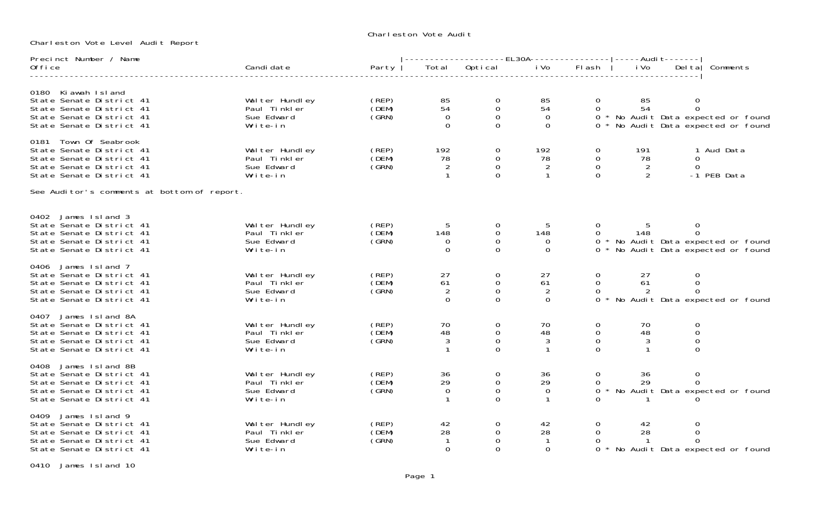## Charleston Vote Audi t

Charleston Vote Level Audit Report

| Precinct Number / Name                                                                                                                 |                                                           |                                       |                                        | -------------------EL30A----------------- ----Audi                         t------- |                                        |                                                           |                                  |                                   |                                                                            |
|----------------------------------------------------------------------------------------------------------------------------------------|-----------------------------------------------------------|---------------------------------------|----------------------------------------|-------------------------------------------------------------------------------------|----------------------------------------|-----------------------------------------------------------|----------------------------------|-----------------------------------|----------------------------------------------------------------------------|
| 0ffice                                                                                                                                 | Candi date                                                | Party                                 | Total                                  | Optical                                                                             | i Vo                                   | Flash                                                     | i Vo                             | $Del$ ta                          | Comments                                                                   |
|                                                                                                                                        |                                                           |                                       |                                        |                                                                                     |                                        |                                                           |                                  |                                   |                                                                            |
| 0180 Ki awah Island<br>State Senate District 41<br>State Senate District 41<br>State Senate District 41<br>State Senate District 41    | Walter Hundley<br>Paul Tinkler<br>Sue Edward<br>Write-in  | (REP)<br>(DEM)<br>(GRN)               | 85<br>54<br>$\overline{0}$<br>$\Omega$ | 0<br>$\mathsf O$<br>$\mathbf 0$<br>$\overline{0}$                                   | 85<br>54<br>$\overline{0}$<br>$\Omega$ | $\overline{0}$<br>$\Omega$                                | 85<br>54                         | $\mathbf 0$<br>$\mathbf 0$        | 0 * No Audit Data expected or found<br>0 * No Audit Data expected or found |
| 0181 Town Of Seabrook<br>State Senate District 41<br>State Senate District 41<br>State Senate District 41<br>State Senate District 41  | Wal ter Hundley<br>Paul Tinkler<br>Sue Edward<br>Write-in | (REP)<br>(DEM)<br>(GRN)               | 192<br>78<br>$\overline{2}$            | $\overline{O}$<br>0<br>$\overline{0}$<br>$\Omega$                                   | 192<br>78<br>2                         | $\mathbf{0}$<br>$\mathbf 0$<br>$\overline{0}$<br>$\Omega$ | 191<br>78<br>$\overline{2}$<br>2 | $\Omega$<br>$\Omega$              | 1 Aud Data<br>-1 PEB Data                                                  |
| See Auditor's comments at bottom of report.                                                                                            |                                                           |                                       |                                        |                                                                                     |                                        |                                                           |                                  |                                   |                                                                            |
| 0402 James Island 3<br>State Senate District 41<br>State Senate District 41<br>State Senate District 41<br>State Senate District 41    | Wal ter Hundley<br>Paul Tinkler<br>Sue Edward<br>Write-in | (REP)<br>(DEM)<br>(GRN)               | 5<br>148<br>$\overline{O}$<br>$\Omega$ | $\mathbf{0}$<br>$\mathbf 0$<br>0<br>$\Omega$                                        | 5<br>148<br>$\overline{0}$<br>$\Omega$ | $\overline{0}$<br>$\overline{O}$                          | 148                              | 0<br>$\mathbf 0$                  | 0 * No Audit Data expected or found<br>0 * No Audit Data expected or found |
| 0406 James Island 7<br>State Senate District 41<br>State Senate District 41<br>State Senate District 41<br>State Senate District 41    | Walter Hundley<br>Paul Tinkler<br>Sue Edward<br>Write-in  | (REP)<br>(DEM)<br>(GRN)               | 27<br>61<br>2<br>$\Omega$              | 0<br>$\mathbf 0$<br>$\mathbf 0$<br>$\Omega$                                         | 27<br>61<br>2<br>$\Omega$              | $\mathbf{O}$<br>$\overline{0}$<br>$\mathbf 0$<br>$0 *$    | 27<br>61<br>2                    | 0<br>0<br>$\overline{O}$          | No Audit Data expected or found                                            |
| 0407 James Island 8A<br>State Senate District 41<br>State Senate District 41<br>State Senate District 41<br>State Senate District 41   | Walter Hundley<br>Paul Tinkler<br>Sue Edward<br>Write-in  | (REP)<br>(DEM)<br>(GRN)               | 70<br>48<br>$\mathfrak{Z}$             | $\mathbf 0$<br>0<br>$\mathbf 0$<br>$\Omega$                                         | 70<br>48<br>$\sqrt{3}$                 | $\mathbf 0$<br>$\mathbf 0$<br>$\mathbf 0$<br>$\Omega$     | 70<br>48<br>3                    | 0<br>0<br>$\mathbf 0$<br>$\Omega$ |                                                                            |
| 0408 James Island 8B<br>State Senate District 41<br>State Senate District 41<br>State Senate District 41<br>State Senate District 41   | Walter Hundley<br>Paul Tinkler<br>Sue Edward<br>Write-in  | (REP)<br>(DEM)<br>$\zeta$ GRN $\zeta$ | 36<br>29<br>$\mathbf 0$                | 0<br>$\mathbf 0$<br>$\mathbf 0$<br>$\Omega$                                         | 36<br>29<br>$\overline{0}$             | $\mathbf 0$<br>$\Omega$                                   | 36<br>29                         | $\mathbf 0$<br>$\Omega$           | 0 * No Audit Data expected or found                                        |
| James Island 9<br>0409<br>State Senate District 41<br>State Senate District 41<br>State Senate District 41<br>State Senate District 41 | Wal ter Hundley<br>Paul Tinkler<br>Sue Edward<br>Write-in | (REP)<br>(DEM)<br>(GRN)               | 42<br>28<br>$\Omega$                   | $\mathbf{O}$<br>$\mathbf 0$<br>$\Omega$<br>$\mathbf{O}$                             | 42<br>28<br>$\overline{0}$             | $\mathbf{0}$<br>$\Omega$<br>$\Omega$                      | 42<br>28<br>$\overline{1}$       | $\Omega$<br>$\Omega$<br>$\Omega$  | 0 * No Audit Data expected or found                                        |

0410 James Island 10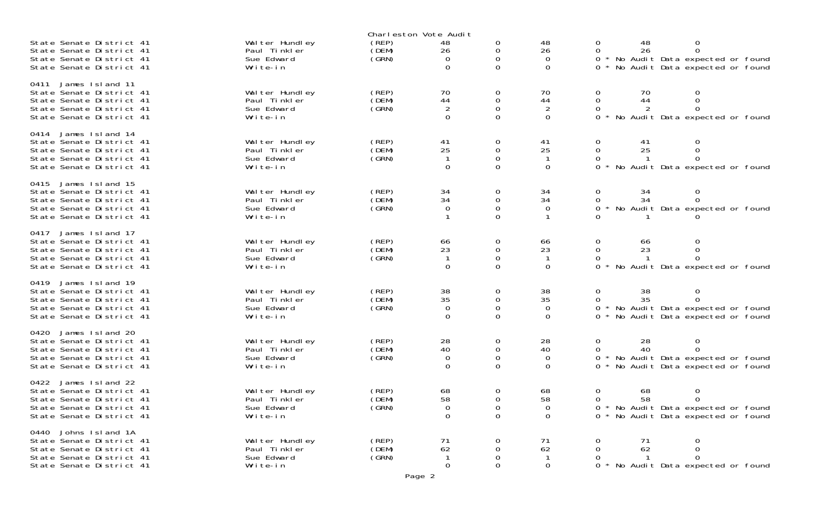|                                                                                                                                         |                                                           |                         | Charleston Vote Audit                  |                                   |                                        |                                                                                                                                          |
|-----------------------------------------------------------------------------------------------------------------------------------------|-----------------------------------------------------------|-------------------------|----------------------------------------|-----------------------------------|----------------------------------------|------------------------------------------------------------------------------------------------------------------------------------------|
| State Senate District 41<br>State Senate District 41<br>State Senate District 41<br>State Senate District 41                            | Wal ter Hundley<br>Paul Tinkler<br>Sue Edward<br>Write-in | (REP)<br>(DEM)<br>(GRN) | 48<br>26<br>$\Omega$<br>$\Omega$       | 0<br>0<br>0<br>$\Omega$           | 48<br>26<br>$\Omega$<br>$\Omega$       | 48<br>0<br>0<br>26<br>0<br>0<br>* No Audit Data expected or found<br>0<br>$0 *$<br>No Audit Data expected or found                       |
| 0411<br>James Island 11<br>State Senate District 41<br>State Senate District 41<br>State Senate District 41<br>State Senate District 41 | Wal ter Hundley<br>Paul Tinkler<br>Sue Edward<br>Write-in | (REP)<br>(DEM)<br>(GRN) | 70<br>44<br>$\overline{2}$<br>$\Omega$ | 0<br>0<br>$\mathbf 0$<br>$\Omega$ | 70<br>44<br>$\overline{2}$<br>$\Omega$ | $\mathbf 0$<br>70<br>0<br>0<br>44<br>0<br>2<br>0<br>0<br>0 * No Audit Data expected or found                                             |
| 0414<br>James Island 14<br>State Senate District 41<br>State Senate District 41<br>State Senate District 41<br>State Senate District 41 | Wal ter Hundley<br>Paul Tinkler<br>Sue Edward<br>Write-in | (REP)<br>(DEM)<br>(SRN) | 41<br>25<br>$\Omega$                   | 0<br>0<br>0<br>0                  | 41<br>25<br>-1<br>0                    | 0<br>0<br>41<br>25<br>0<br>0<br>$\Omega$<br>0<br>No Audit Data expected or found<br>0                                                    |
| 0415<br>James Island 15<br>State Senate District 41<br>State Senate District 41<br>State Senate District 41<br>State Senate District 41 | Wal ter Hundley<br>Paul Tinkler<br>Sue Edward<br>Write-in | (REP)<br>(DEM)<br>(GRN) | 34<br>34<br>$\Omega$                   | 0<br>0<br>0<br>$\Omega$           | 34<br>34<br>$\Omega$                   | 34<br>0<br>0<br>0<br>34<br>0<br>No Audit Data expected or found<br>0                                                                     |
| 0417<br>James Island 17<br>State Senate District 41<br>State Senate District 41<br>State Senate District 41<br>State Senate District 41 | Walter Hundley<br>Paul Tinkler<br>Sue Edward<br>Write-in  | (REP)<br>(DEM)<br>(SRN) | 66<br>23<br>-1<br>$\Omega$             | 0<br>0<br>0<br>0                  | 66<br>23<br>$\overline{1}$<br>0        | $\Omega$<br>66<br>0<br>23<br>0<br>0<br>$\Omega$<br>0<br>No Audit Data expected or found<br>0                                             |
| 0419<br>James Island 19<br>State Senate District 41<br>State Senate District 41<br>State Senate District 41<br>State Senate District 41 | Walter Hundley<br>Paul Tinkler<br>Sue Edward<br>Write-in  | (REP)<br>(DEM)<br>(SRN) | 38<br>35<br>$\overline{0}$<br>$\Omega$ | 0<br>0<br>$\mathbf 0$<br>0        | 38<br>35<br>$\overline{0}$<br>0        | 38<br>0<br>0<br>35<br>0<br>0<br>0 * No Audit Data expected or found<br>No Audit Data expected or found<br>0 *                            |
| James Island 20<br>0420<br>State Senate District 41<br>State Senate District 41<br>State Senate District 41<br>State Senate District 41 | Walter Hundley<br>Paul Tinkler<br>Sue Edward<br>Write-in  | (REP)<br>(DEM)<br>(GRN) | 28<br>40<br>0<br>$\Omega$              | 0<br>0<br>$\mathbf 0$<br>$\Omega$ | 28<br>40<br>0<br>$\Omega$              | 28<br>$\mathsf{O}\xspace$<br>0<br>$\mathbf{O}$<br>40<br>0<br>0 * No Audit Data expected or found<br>No Audit Data expected or found<br>0 |
| James Island 22<br>0422<br>State Senate District 41<br>State Senate District 41<br>State Senate District 41<br>State Senate District 41 | Wal ter Hundley<br>Paul Tinkler<br>Sue Edward<br>Write-in | (REP)<br>(DEM)<br>(GRN) | 68<br>58<br>$\mathbf 0$<br>$\Omega$    | 0<br>$\Omega$<br>0<br>$\Omega$    | 68<br>58<br>0<br>$\Omega$              | 0<br>68<br>0<br>58<br>$\Omega$<br>$\Omega$<br>0 * No Audit Data expected or found<br>0 * No Audit Data expected or found                 |
| 0440 Johns Island 1A<br>State Senate District 41<br>State Senate District 41<br>State Senate District 41<br>State Senate District 41    | Walter Hundley<br>Paul Tinkler<br>Sue Edward<br>Write-in  | (REP)<br>(DEM)<br>(GRN) | 71<br>62<br>-1<br>$\mathbf 0$          | 0<br>0<br>0<br>0                  | 71<br>62<br>$\overline{1}$<br>0        | 0<br>71<br>0<br>62<br>0<br>$\Omega$<br>$\Omega$<br>$\overline{1}$<br>0<br>0 * No Audit Data expected or found                            |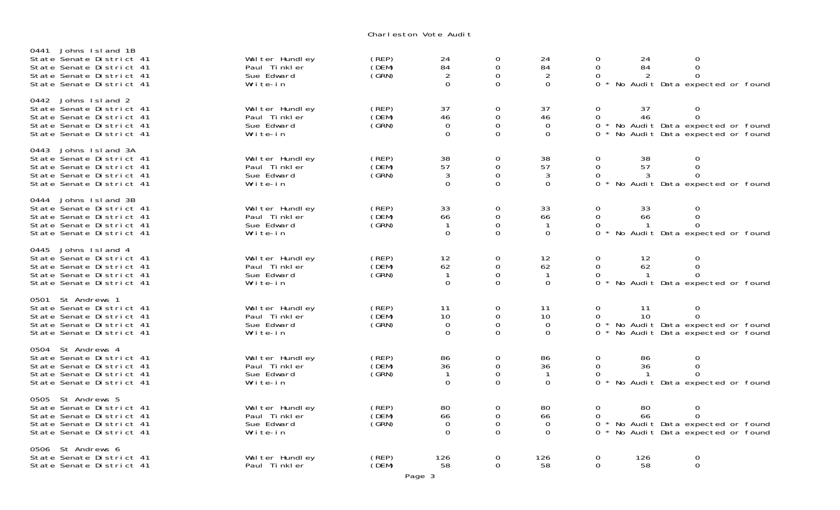Charleston Vote Audi t

| Johns Island 1B<br>0441<br>State Senate District 41<br>State Senate District 41<br>State Senate District 41<br>State Senate District 41 | Wal ter Hundley<br>Paul Tinkler<br>Sue Edward<br>Write-in | (REP)<br>(DEM)<br>(GRN)       | $^{24}_{84}$<br>2<br>$\overline{0}$        | $_{\rm 0}^{\rm 0}$<br>0<br>$\mathbf{O}$                          | $^{24}_{84}$<br>$\overline{2}$<br>$\overline{0}$ | 0<br>$\mathsf{O}$<br>$\Omega$<br>$\Omega$      | 24<br>84                 | $\boldsymbol{0}$<br>$\mathsf{O}\xspace$<br>$\Omega$<br>No Audit Data expected or found                |  |
|-----------------------------------------------------------------------------------------------------------------------------------------|-----------------------------------------------------------|-------------------------------|--------------------------------------------|------------------------------------------------------------------|--------------------------------------------------|------------------------------------------------|--------------------------|-------------------------------------------------------------------------------------------------------|--|
| Johns Island 2<br>0442<br>State Senate District 41<br>State Senate District 41<br>State Senate District 41<br>State Senate District 41  | Wal ter Hundley<br>Paul Tinkler<br>Sue Edward<br>Write-in | (REP)<br>(DEM)<br>(GRN)       | 37<br>46<br>$\mathbf 0$<br>0               | 0<br>$\mathsf{O}\xspace$<br>$\mathbf 0$<br>$\mathbf 0$           | 37<br>46<br>$\mathbf 0$<br>0                     | $\mathbf 0$<br>$\mathsf{O}$<br>0<br>$\Omega$   | 37<br>46                 | 0<br>$\mathbf 0$<br>* No Audit Data expected or found<br>No Audit Data expected or found              |  |
| Johns Island 3A<br>0443<br>State Senate District 41<br>State Senate District 41<br>State Senate District 41<br>State Senate District 41 | Wal ter Hundley<br>Paul Tinkler<br>Sue Edward<br>Write-in | $($ REP $)$<br>(DEM)<br>(GRN) | 38<br>57<br>3<br>$\Omega$                  | $\mathbf 0$<br>$\mathbf 0$<br>$\mathsf{O}\xspace$<br>$\Omega$    | 38<br>57<br>3<br>$\Omega$                        | $\mathbf 0$<br>$\overline{0}$<br>0<br>$\Omega$ | 38<br>57<br>3            | $\mathbf 0$<br>$\mathbf 0$<br>$\mathbf 0$<br>No Audit Data expected or found                          |  |
| 0444<br>Johns Island 3B<br>State Senate District 41<br>State Senate District 41<br>State Senate District 41<br>State Senate District 41 | Wal ter Hundley<br>Paul Tinkler<br>Sue Edward<br>Write-in | (REP)<br>(DEM)<br>(GRN)       | 33<br>66<br>$\mathbf{O}$                   | $\mathbf 0$<br>$\overline{0}$<br>$\overline{0}$<br>$\mathbf{O}$  | 33<br>66<br>$\mathbf{1}$<br>$\mathbf{O}$         | 0<br>$\mathbf 0$<br>0<br>$\Omega$              | 33<br>66                 | $\mathbf 0$<br>$\mathsf{O}\xspace$<br>$\overline{0}$<br>No Audit Data expected or found               |  |
| 0445<br>Johns Island 4<br>State Senate District 41<br>State Senate District 41<br>State Senate District 41<br>State Senate District 41  | Wal ter Hundley<br>Paul Tinkler<br>Sue Edward<br>Write-in | (REP)<br>(DEM)<br>(GRN)       | 12<br>62<br>$\mathbf{1}$<br>$\overline{0}$ | 0<br>$\mathsf{O}\xspace$<br>$\mathsf{O}\xspace$<br>$\mathbf{O}$  | 12<br>62<br>$\overline{1}$<br>$\mathbf 0$        | $\mathbf 0$<br>$\mathsf{O}$<br>0<br>$\Omega$   | 12<br>62<br>$\mathbf{1}$ | 0<br>$\mathbf 0$<br>$\Omega$<br>No Audit Data expected or found                                       |  |
| St Andrews 1<br>0501<br>State Senate District 41<br>State Senate District 41<br>State Senate District 41<br>State Senate District 41    | Wal ter Hundley<br>Paul Tinkler<br>Sue Edward<br>Write-in | (REP)<br>(DEM)<br>(GRN)       | 11<br>10<br>$\mathbf 0$<br>$\overline{0}$  | 0<br>$\mathbf 0$<br>$\mathsf{O}\xspace$<br>$\mathbf 0$           | 11<br>10<br>$\mathbf 0$<br>$\mathbf 0$           | $\mathbf 0$<br>0<br>0<br>$\Omega$              | 11<br>10                 | $\mathbf 0$<br>$\overline{0}$<br>* No Audit Data expected or found<br>No Audit Data expected or found |  |
| 0504 St Andrews 4<br>State Senate District 41<br>State Senate District 41<br>State Senate District 41<br>State Senate District 41       | Wal ter Hundley<br>Paul Tinkler<br>Sue Edward<br>Write-in | (REP)<br>(DEM)<br>(GRN)       | 86<br>36<br>$\mathbf{1}$<br>$\overline{0}$ | $\mathbf 0$<br>$\mathsf{O}\xspace$<br>$\mathbf 0$<br>$\mathbf 0$ | 86<br>36<br>$\mathbf{1}$<br>$\mathbf 0$          | 0<br>$\mathbf 0$<br>0<br>$\Omega$              | 86<br>36                 | $\mathbf 0$<br>$\mathsf{O}\xspace$<br>$\Omega$<br>* No Audit Data expected or found                   |  |
| St Andrews 5<br>0505<br>State Senate District 41<br>State Senate District 41<br>State Senate District 41<br>State Senate District 41    | Wal ter Hundley<br>Paul Tinkler<br>Sue Edward<br>Write-in | (REP)<br>(DEM)<br>(GRN)       | 80<br>66<br>0<br>$\Omega$                  | 0<br>$\mathsf{O}\xspace$<br>$\mathsf{O}\xspace$<br>$\mathbf 0$   | 80<br>66<br>$\mathbf 0$<br>$\Omega$              | $\mathbf 0$<br>$\Omega$<br>0<br>0              | 80<br>66                 | $\mathbf 0$<br>$\overline{0}$<br>* No Audit Data expected or found<br>No Audit Data expected or found |  |
| St Andrews 6<br>0506<br>State Senate District 41<br>State Senate District 41                                                            | Wal ter Hundley<br>Paul Tinkler                           | (REP)<br>(DEM)                | 126<br>58                                  | $\mathbf 0$<br>$\Omega$                                          | 126<br>58                                        | $\mathbf 0$<br>$\Omega$                        | 126<br>58                | $\boldsymbol{0}$<br>$\mathbf 0$                                                                       |  |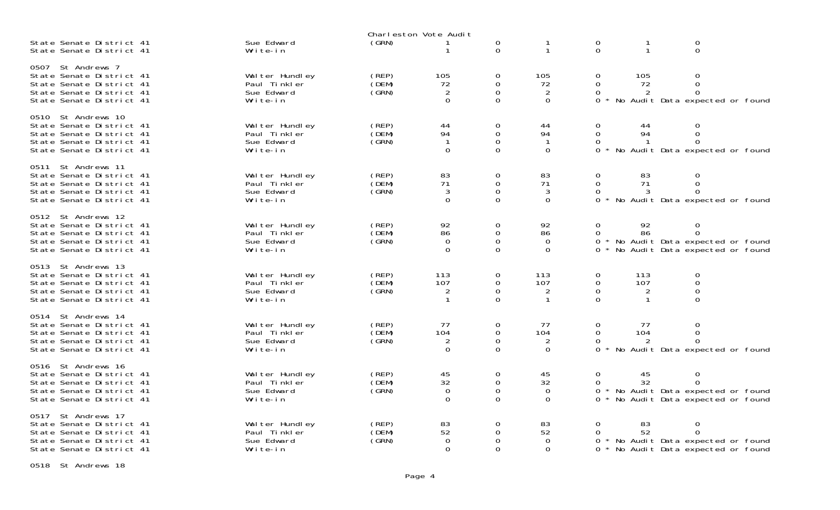|                                                                                                                                       |                                                           |                         | Charleston Vote Audit                   |                                                |                                        |                                             |                              |                                                                                       |  |
|---------------------------------------------------------------------------------------------------------------------------------------|-----------------------------------------------------------|-------------------------|-----------------------------------------|------------------------------------------------|----------------------------------------|---------------------------------------------|------------------------------|---------------------------------------------------------------------------------------|--|
| State Senate District 41<br>State Senate District 41                                                                                  | Sue Edward<br>Write-in                                    | (GRN)                   | 1                                       | 0<br>$\Omega$                                  | $\mathbf 1$                            | $\mathbf 0$<br>$\Omega$                     | $\mathbf 1$                  | $\boldsymbol{0}$<br>$\mathbf 0$                                                       |  |
| 0507 St Andrews 7<br>State Senate District 41<br>State Senate District 41<br>State Senate District 41<br>State Senate District 41     | Wal ter Hundley<br>Paul Tinkler<br>Sue Edward<br>Write-in | (REP)<br>(DEM)<br>(GRN) | 105<br>72<br>2<br>$\mathbf 0$           | 0<br>$\mathbf 0$<br>$\mathbf 0$<br>$\mathbf 0$ | 105<br>72<br>2<br>$\mathbf 0$          | 0<br>$\mathbf 0$<br>0<br>0                  | 105<br>72<br>2               | 0<br>$\mathbf 0$<br>$\Omega$<br>No Audit Data expected or found                       |  |
| 0510 St Andrews 10<br>State Senate District 41<br>State Senate District 41<br>State Senate District 41<br>State Senate District 41    | Wal ter Hundley<br>Paul Tinkler<br>Sue Edward<br>Write-in | (REP)<br>(DEM)<br>(GRN) | 44<br>94<br>$\mathbf{1}$<br>$\mathbf 0$ | 0<br>$\mathbf 0$<br>0<br>$\mathbf 0$           | 44<br>94<br>$\mathbf 0$                | 0<br>$\Omega$<br>0<br>0                     | 44<br>94                     | 0<br>$\Omega$<br>No Audit Data expected or found                                      |  |
| St Andrews 11<br>0511<br>State Senate District 41<br>State Senate District 41<br>State Senate District 41<br>State Senate District 41 | Wal ter Hundley<br>Paul Tinkler<br>Sue Edward<br>Write-in | (REP)<br>(DEM)<br>(GRN) | 83<br>71<br>3<br>$\mathbf 0$            | 0<br>0<br>$\mathbf 0$<br>$\Omega$              | 83<br>71<br>3<br>$\overline{0}$        | 0<br>$\Omega$<br>0<br>0                     | 83<br>71<br>3                | 0<br>$\Omega$<br>No Audit Data expected or found                                      |  |
| 0512 St Andrews 12<br>State Senate District 41<br>State Senate District 41<br>State Senate District 41<br>State Senate District 41    | Wal ter Hundley<br>Paul Tinkler<br>Sue Edward<br>Write-in | (REP)<br>(DEM)<br>(GRN) | 92<br>86<br>0<br>$\Omega$               | 0<br>$\mathbf 0$<br>$\mathbf 0$<br>$\Omega$    | 92<br>86<br>$\overline{0}$<br>$\Omega$ | $\Omega$<br>$\Omega$<br>0<br>$\Omega$       | 92<br>86                     | 0<br>$\Omega$<br>* No Audit Data expected or found<br>No Audit Data expected or found |  |
| 0513 St Andrews 13<br>State Senate District 41<br>State Senate District 41<br>State Senate District 41<br>State Senate District 41    | Wal ter Hundley<br>Paul Tinkler<br>Sue Edward<br>Write-in | (REP)<br>(DEM)<br>(GRN) | 113<br>107<br>2<br>1                    | $\mathbf 0$<br>0<br>$\mathbf 0$<br>$\Omega$    | 113<br>107<br>$\overline{2}$           | $\mathbf 0$<br>0<br>$\mathbf 0$<br>$\Omega$ | 113<br>107<br>$\overline{2}$ | $\mathbf 0$<br>$\mathbf 0$<br>$\mathbf 0$<br>$\Omega$                                 |  |
| St Andrews 14<br>0514<br>State Senate District 41<br>State Senate District 41<br>State Senate District 41<br>State Senate District 41 | Wal ter Hundley<br>Paul Tinkler<br>Sue Edward<br>Write-in | (REP)<br>(DEM)<br>(GRN) | 77<br>104<br>2<br>$\Omega$              | 0<br>0<br>0<br>$\Omega$                        | 77<br>104<br>2<br>$\mathbf 0$          | $\Omega$<br>$\Omega$<br>0<br>$\Omega$       | 77<br>104<br>2               | 0<br>$\Omega$<br>$\Omega$<br>No Audit Data expected or found                          |  |
| 0516 St Andrews 16<br>State Senate District 41<br>State Senate District 41<br>State Senate District 41<br>State Senate District 41    | Wal ter Hundley<br>Paul Tinkler<br>Sue Edward<br>Write-in | (REP)<br>(DEM)<br>(GRN) | 45<br>32<br>$\mathbf 0$<br>$\Omega$     | 0<br>0<br>0<br>$\mathbf 0$                     | 45<br>32<br>0<br>$\Omega$              | $\mathbf 0$                                 | 45<br>32                     | 0<br>$\Omega$<br>No Audit Data expected or found<br>No Audit Data expected or found   |  |
| St Andrews 17<br>0517<br>State Senate District 41<br>State Senate District 41<br>State Senate District 41<br>State Senate District 41 | Wal ter Hundley<br>Paul Tinkler<br>Sue Edward<br>Write-in | (REP)<br>(DEM)<br>(GRN) | 83<br>52<br>0<br>$\Omega$               | 0<br>0<br>0<br>$\Omega$                        | 83<br>52<br>$\Omega$<br>$\Omega$       | $\Omega$<br>$\Omega$<br>0<br>0              | 83<br>52                     | 0<br>$\Omega$<br>No Audit Data expected or found<br>No Audit Data expected or found   |  |

0518 St Andrews 18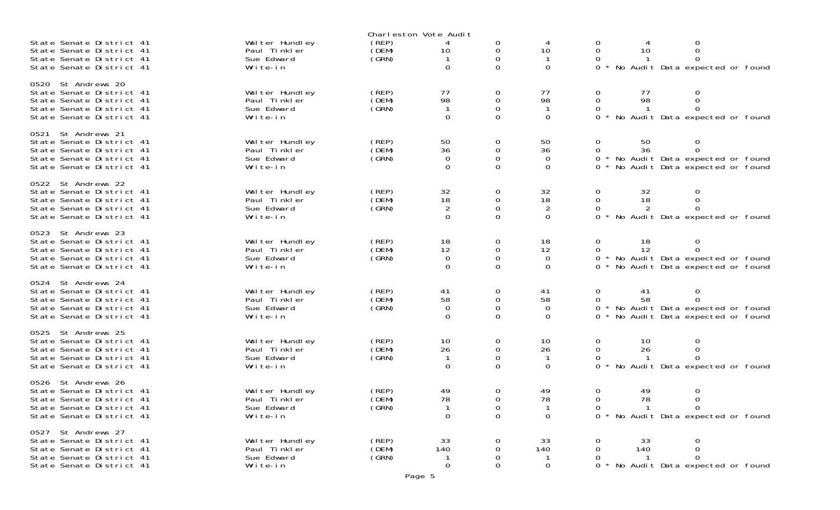|                                                                                                                                       |                                                           |                         | Charleston Vote Audit                                                 |                                           |                                              |                                             |                          |                                                                                     |  |
|---------------------------------------------------------------------------------------------------------------------------------------|-----------------------------------------------------------|-------------------------|-----------------------------------------------------------------------|-------------------------------------------|----------------------------------------------|---------------------------------------------|--------------------------|-------------------------------------------------------------------------------------|--|
| State Senate District 41<br>State Senate District 41<br>State Senate District 41<br>State Senate District 41                          | Wal ter Hundley<br>Paul Tinkler<br>Sue Edward<br>Write-in | (REP)<br>(DEM)<br>(GRN) | 4<br>10<br>$\mathbf 0$                                                | 0<br>0<br>$\Omega$                        | 10<br>$\overline{0}$                         | 0<br>$\Omega$<br>0<br>$\Omega$              | 10                       | 0<br>$\Omega$<br>No Audit Data expected or found                                    |  |
| 0520 St Andrews 20<br>State Senate District 41<br>State Senate District 41<br>State Senate District 41<br>State Senate District 41    | Wal ter Hundley<br>Paul Tinkler<br>Sue Edward<br>Write-in | (REP)<br>(DEM)<br>(GRN) | 77<br>98<br>$\mathbf 0$                                               | 0<br>0<br>0<br>$\Omega$                   | 77<br>98<br>$\overline{0}$                   | $\overline{O}$<br>$\Omega$<br>0<br>$\Omega$ | 77<br>98                 | 0<br>$\Omega$<br>$\Omega$<br>No Audit Data expected or found                        |  |
| St Andrews 21<br>0521<br>State Senate District 41<br>State Senate District 41<br>State Senate District 41<br>State Senate District 41 | Wal ter Hundley<br>Paul Tinkler<br>Sue Edward<br>Write-in | (REP)<br>(DEM)<br>(GRN) | 50<br>36<br>0<br>$\Omega$                                             | 0<br>0<br>$\Omega$<br>$\Omega$            | 50<br>36<br>$\overline{0}$<br>$\Omega$       | 0<br>$\Omega$<br>$\Omega$                   | 50<br>36                 | 0<br>$\Omega$<br>No Audit Data expected or found<br>No Audit Data expected or found |  |
| 0522 St Andrews 22<br>State Senate District 41<br>State Senate District 41<br>State Senate District 41<br>State Senate District 41    | Wal ter Hundley<br>Paul Tinkler<br>Sue Edward<br>Write-in | (REP)<br>(DEM)<br>(GRN) | $\begin{array}{c} 32 \\ 18 \end{array}$<br>$\overline{2}$<br>$\Omega$ | 0<br>0<br>$\mathbf 0$<br>$\Omega$         | 32<br>18<br>$\overline{2}$<br>$\overline{0}$ | 0<br>$\Omega$<br>$\Omega$<br>$\Omega$       | 32<br>18                 | 0<br>0<br>No Audit Data expected or found                                           |  |
| 0523 St Andrews 23<br>State Senate District 41<br>State Senate District 41<br>State Senate District 41<br>State Senate District 41    | Wal ter Hundley<br>Paul Tinkler<br>Sue Edward<br>Write-in | (REP)<br>(DEM)<br>(GRN) | 18<br>12<br>0<br>$\Omega$                                             | 0<br>0<br>$\mathbf 0$<br>$\Omega$         | 18<br>12<br>$\overline{0}$<br>$\Omega$       | 0<br>$\Omega$<br>0<br>$\Omega$              | 18<br>12                 | 0<br>$\Omega$<br>No Audit Data expected or found<br>No Audit Data expected or found |  |
| St Andrews 24<br>0524<br>State Senate District 41<br>State Senate District 41<br>State Senate District 41<br>State Senate District 41 | Wal ter Hundley<br>Paul Tinkler<br>Sue Edward<br>Write-in | (REP)<br>(DEM)<br>(GRN) | 41<br>58<br>$\Omega$<br>$\Omega$                                      | 0<br>0<br>0<br>$\Omega$                   | 41<br>58<br>$\overline{0}$<br>$\Omega$       | $\mathbf 0$<br>$\Omega$<br>0<br>$\Omega$    | 41<br>58                 | 0<br>$\Omega$<br>No Audit Data expected or found<br>No Audit Data expected or found |  |
| 0525 St Andrews 25<br>State Senate District 41<br>State Senate District 41<br>State Senate District 41<br>State Senate District 41    | Wal ter Hundley<br>Paul Tinkler<br>Sue Edward<br>Write-in | (REP)<br>(DEM)<br>(GRN) | 10<br>26<br>$\mathbf 1$<br>$\mathbf 0$                                | 0<br>$\mathsf{O}\xspace$<br>0<br>$\Omega$ | 10<br>26<br>$\overline{0}$                   | 0<br>$\mathbf 0$<br>0<br>$\Omega$           | 10<br>26                 | 0<br>0<br>$\Omega$<br>No Audit Data expected or found                               |  |
| 0526 St Andrews 26<br>State Senate District 41<br>State Senate District 41<br>State Senate District 41<br>State Senate District 41    | Wal ter Hundley<br>Paul Tinkler<br>Sue Edward<br>Write-in | (REP)<br>(DEM)<br>(GRN) | 49<br>78<br>$\mathsf{O}\xspace$                                       | 0<br>0<br>0<br>0                          | 49<br>78<br>$\mathbf 0$                      | 0<br>0<br>$\Omega$                          | 49<br>78                 | 0<br>$\mathsf{O}\xspace$<br>$\Omega$<br>0 * No Audit Data expected or found         |  |
| 0527 St Andrews 27<br>State Senate District 41<br>State Senate District 41<br>State Senate District 41<br>State Senate District 41    | Wal ter Hundley<br>Paul Tinkler<br>Sue Edward<br>Write-in | (REP)<br>(DEM)<br>(GRN) | 33<br>140<br>-1<br>$\mathbf 0$                                        | 0<br>0<br>0<br>0                          | 33<br>140<br>-1<br>$\mathbf 0$               | $\mathbf 0$<br>$\mathbf 0$<br>0<br>$\Omega$ | 33<br>140<br>$\mathbf 1$ | $\mathbf 0$<br>0<br>$\Omega$<br>No Audit Data expected or found                     |  |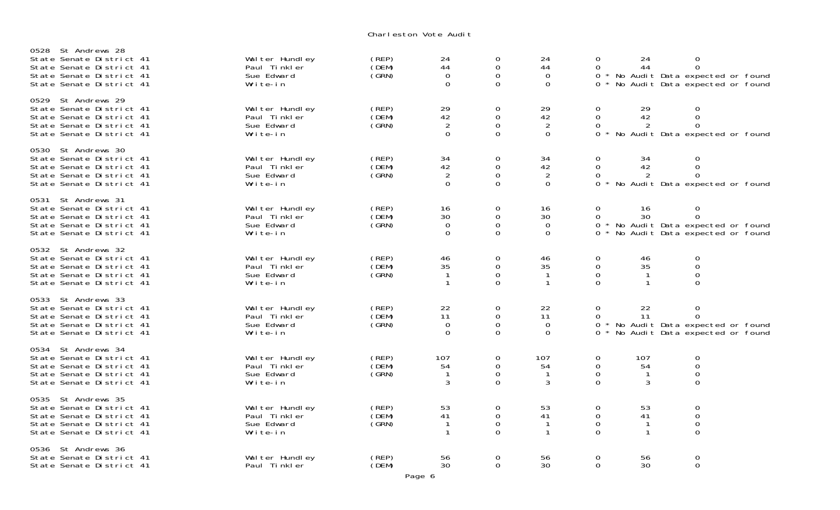Charleston Vote Audi t

| St Andrews 28<br>0528<br>State Senate District 41<br>State Senate District 41<br>State Senate District 41<br>State Senate District 41 | Wal ter Hundley<br>Paul Tinkler<br>Sue Edward<br>Write-in | (REP)<br>(DEM)<br>(GRN) | 24<br>44<br>0<br>$\mathbf 0$                                          | 0<br>$\Omega$<br>0<br>$\mathbf 0$                       | 24<br>44<br>0<br>$\mathbf 0$                                      | 0<br>$\Omega$<br>$\Omega$<br>0                  | 24<br>44                                 | 0<br>0<br>No Audit Data expected or found<br>No Audit Data expected or found          |  |
|---------------------------------------------------------------------------------------------------------------------------------------|-----------------------------------------------------------|-------------------------|-----------------------------------------------------------------------|---------------------------------------------------------|-------------------------------------------------------------------|-------------------------------------------------|------------------------------------------|---------------------------------------------------------------------------------------|--|
| 0529<br>St Andrews 29<br>State Senate District 41<br>State Senate District 41<br>State Senate District 41<br>State Senate District 41 | Wal ter Hundley<br>Paul Tinkler<br>Sue Edward<br>Write-in | (REP)<br>(DEM)<br>(GRN) | $\begin{array}{c} 29 \\ 42 \end{array}$<br>$\overline{2}$<br>$\Omega$ | 0<br>$\mathsf{O}\xspace$<br>$\mathbf 0$<br>0            | $\begin{array}{c} 29 \\ 42 \end{array}$<br>$\sqrt{2}$<br>$\Omega$ | $\mathbf 0$<br>$\mathsf{O}$<br>$\Omega$<br>0    | 29<br>$\overline{4}2$                    | 0<br>0<br>0<br>No Audit Data expected or found                                        |  |
| 0530 St Andrews 30<br>State Senate District 41<br>State Senate District 41<br>State Senate District 41<br>State Senate District 41    | Wal ter Hundley<br>Paul Tinkler<br>Sue Edward<br>Write-in | (REP)<br>(DEM)<br>(SRN) | 34<br>42<br>$\overline{2}$<br>$\Omega$                                | 0<br>0<br>$\mathbf{O}$<br>$\mathbf{O}$                  | 34<br>42<br>$\overline{2}$<br>$\mathbf 0$                         | $\mathbf 0$<br>0<br>$\Omega$<br>$\Omega$        | 34<br>42<br>2                            | 0<br>0<br>$\Omega$<br>No Audit Data expected or found                                 |  |
| St Andrews 31<br>0531<br>State Senate District 41<br>State Senate District 41<br>State Senate District 41<br>State Senate District 41 | Wal ter Hundley<br>Paul Tinkler<br>Sue Edward<br>Write-in | (REP)<br>(DEM)<br>(GRN) | 16<br>30<br>$\mathbf 0$<br>$\mathbf 0$                                | 0<br>$\mathbf 0$<br>$\mathsf{O}\xspace$<br>$\mathbf{O}$ | 16<br>30<br>$\mathbf 0$<br>$\mathbf 0$                            | 0<br>$\Omega$<br>$\mathbf{O}$<br>0              | 16<br>30                                 | 0<br>$\Omega$<br>* No Audit Data expected or found<br>No Audit Data expected or found |  |
| 0532 St Andrews 32<br>State Senate District 41<br>State Senate District 41<br>State Senate District 41<br>State Senate District 41    | Wal ter Hundley<br>Paul Tinkler<br>Sue Edward<br>Write-in | (REP)<br>(DEM)<br>(GRN) | 46<br>35<br>-1<br>$\mathbf 1$                                         | 0<br>$\mathbf{O}$<br>0<br>$\Omega$                      | 46<br>35<br>$\mathbf{1}$<br>$\mathbf{1}$                          | $\mathbf 0$<br>$\mathbf{O}$<br>0<br>$\Omega$    | 46<br>35<br>$\mathbf{1}$<br>$\mathbf{1}$ | 0<br>0<br>0<br>0                                                                      |  |
| 0533<br>St Andrews 33<br>State Senate District 41<br>State Senate District 41<br>State Senate District 41<br>State Senate District 41 | Wal ter Hundley<br>Paul Tinkler<br>Sue Edward<br>Write-in | (REP)<br>(DEM)<br>(GRN) | 22<br>11<br>$\mathbf 0$<br>$\mathbf 0$                                | 0<br>0<br>$\mathbf{O}$<br>$\mathbf 0$                   | 22<br>11<br>$\Omega$<br>0                                         | $\mathbf 0$<br>0<br>$\Omega$<br>0               | 22<br>11                                 | 0<br>$\Omega$<br>No Audit Data expected or found<br>No Audit Data expected or found   |  |
| 0534 St Andrews 34<br>State Senate District 41<br>State Senate District 41<br>State Senate District 41<br>State Senate District 41    | Wal ter Hundley<br>Paul Tinkler<br>Sue Edward<br>Write-in | (REP)<br>(DEM)<br>(GRN) | 107<br>54<br>-1<br>3                                                  | 0<br>$\Omega$<br>$\mathbf 0$<br>$\mathbf{O}$            | 107<br>54<br>-1<br>3                                              | 0<br>$\mathbf 0$<br>$\mathbf 0$<br>$\mathbf{O}$ | 107<br>54<br>3                           | 0<br>0<br>0<br>0                                                                      |  |
| St Andrews 35<br>0535<br>State Senate District 41<br>State Senate District 41<br>State Senate District 41<br>State Senate District 41 | Wal ter Hundley<br>Paul Tinkler<br>Sue Edward<br>Write-in | (REP)<br>(DEM)<br>(GRN) | 53<br>41<br>$\mathbf{1}$<br>1                                         | 0<br>$\mathbf 0$<br>0<br>$\Omega$                       | 53<br>41<br>$\mathbf{1}$<br>$\mathbf 1$                           | $\mathbf 0$<br>$\mathbf 0$<br>0<br>$\Omega$     | 53<br>41<br>$\mathbf{1}$<br>$\mathbf 1$  | 0<br>0<br>0<br>0                                                                      |  |
| St Andrews 36<br>0536<br>State Senate District 41<br>State Senate District 41                                                         | Wal ter Hundley<br>Paul Tinkler                           | (REP)<br>(DEM)          | 56<br>30                                                              | $\mathbf 0$<br>$\Omega$                                 | 56<br>30                                                          | $\mathbf 0$<br>$\Omega$                         | 56<br>30                                 | 0<br>0                                                                                |  |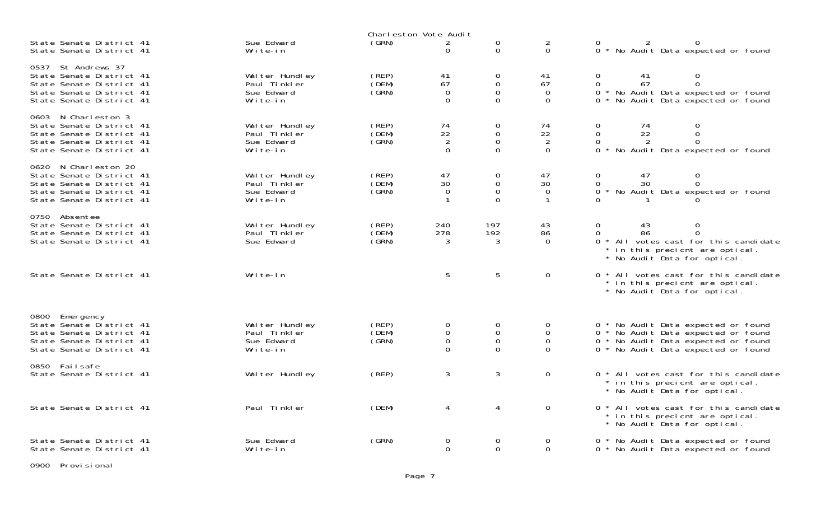|                                                                                                                                         |                                                           | Charleston Vote Audit   |                                                          |                                                               |                                                  |                                                                                                                                                                |
|-----------------------------------------------------------------------------------------------------------------------------------------|-----------------------------------------------------------|-------------------------|----------------------------------------------------------|---------------------------------------------------------------|--------------------------------------------------|----------------------------------------------------------------------------------------------------------------------------------------------------------------|
| State Senate District 41<br>State Senate District 41                                                                                    | Sue Edward<br>Write-in                                    | (GRN)                   | $\overline{2}$<br>$\Omega$                               | $\mathbf 0$<br>$\Omega$                                       | $\frac{2}{0}$                                    | $\Omega$<br>0 * No Audit Data expected or found                                                                                                                |
| 0537 St Andrews 37<br>State Senate District 41<br>State Senate District 41<br>State Senate District 41<br>State Senate District 41      | Wal ter Hundley<br>Paul Tinkler<br>Sue Edward<br>Write-in | (REP)<br>(DEM)<br>(SRN) | 41<br>67<br>$\mathbf 0$<br>$\Omega$                      | $\mathbf 0$<br>$\mathsf O$<br>$\mathsf O$<br>$\mathbf{0}$     | 41<br>67<br>$\mathbf 0$<br>$\mathbf 0$           | $\mathbf 0$<br>0<br>41<br>$\mathbf{O}$<br>67<br>$\overline{0}$<br>* No Audit Data expected or found<br>$\Omega$<br>$\Omega$<br>No Audit Data expected or found |
| 0603 N Charleston 3<br>State Senate District 41<br>State Senate District 41<br>State Senate District 41<br>State Senate District 41     | Wal ter Hundley<br>Paul Tinkler<br>Sue Edward<br>Write-in | (REP)<br>(DEM)<br>(GRN) | 74<br>$\frac{22}{2}$<br>$\Omega$                         | $\mathbf 0$<br>$\mathbf 0$<br>$\mathbf{0}$<br>$\mathbf{0}$    | 74<br>$\frac{22}{2}$<br>$\Omega$                 | 0<br>0<br>74<br>$\overline{O}$<br>22<br>$\mathsf{O}\xspace$<br>$\Omega$<br>$\Omega$<br>2<br>$\Omega$<br>No Audit Data expected or found                        |
| N Charleston 20<br>0620<br>State Senate District 41<br>State Senate District 41<br>State Senate District 41<br>State Senate District 41 | Walter Hundley<br>Paul Tinkler<br>Sue Edward<br>Write-in  | (REP)<br>(DEM)<br>(GRN) | 47<br>30<br>$\overline{0}$<br>$\mathbf{1}$               | $\mathbf 0$<br>$\mathsf O$<br>$\mathsf O$<br>$\Omega$         | 47<br>30<br>$\mathbf 0$<br>$\mathbf{1}$          | 47<br>$\mathbf 0$<br>0<br>$\overline{O}$<br>$\mathbf 0$<br>30<br>$\overline{0}$<br>* No Audit Data expected or found                                           |
| 0750 Absentee<br>State Senate District 41<br>State Senate District 41<br>State Senate District 41                                       | Walter Hundley<br>Paul Tinkler<br>Sue Edward              | (REP)<br>(DEM)<br>(GRN) | 240<br>278<br>3                                          | 197<br>192<br>3                                               | 43<br>86<br>$\Omega$                             | 0<br>0<br>43<br>$\mathbf{0}$<br>$\Omega$<br>86<br>* All votes cast for this candidate<br>* in this precient are optical.<br>* No Audit Data for optical.       |
| State Senate District 41                                                                                                                | Write-in                                                  |                         | 5                                                        | 5                                                             | 0                                                | 0 * All votes cast for this candidate<br>in this precient are optical.<br>* No Audit Data for optical.                                                         |
| 0800<br>Emergency<br>State Senate District 41<br>State Senate District 41<br>State Senate District 41<br>State Senate District 41       | Wal ter Hundley<br>Paul Tinkler<br>Sue Edward<br>Write-in | (REP)<br>(DEM)<br>(SRN) | $\overline{0}$<br>$\mathsf O$<br>$\mathbf 0$<br>$\Omega$ | $\mathbf 0$<br>$\mathsf{O}\xspace$<br>$\mathbf 0$<br>$\Omega$ | $\boldsymbol{0}$<br>$\boldsymbol{0}$<br>$\Omega$ | 0 * No Audit Data expected or found<br>0 * No Audit Data expected or found<br>0 * No Audit Data expected or found<br>0 * No Audit Data expected or found       |
| 0850 Failsafe<br>State Senate District 41                                                                                               | Wal ter Hundley                                           | (REP)                   | 3                                                        | 3                                                             | $\mathbf 0$                                      | 0 * All votes cast for this candidate<br>* in this precient are optical.<br>* No Audit Data for optical.                                                       |
| State Senate District 41                                                                                                                | Paul Tinkler                                              | (DEM)                   | 4                                                        | 4                                                             | $\mathbf 0$                                      | 0 * All votes cast for this candidate<br>* in this precient are optical.<br>* No Audit Data for optical.                                                       |
| State Senate District 41<br>State Senate District 41                                                                                    | Sue Edward<br>Write-in                                    | (GRN)                   | $\overline{0}$<br>$\Omega$                               | 0<br>$\mathbf{0}$                                             | 0<br>$\Omega$                                    | 0 * No Audit Data expected or found<br>0 * No Audit Data expected or found                                                                                     |

0900 Provisional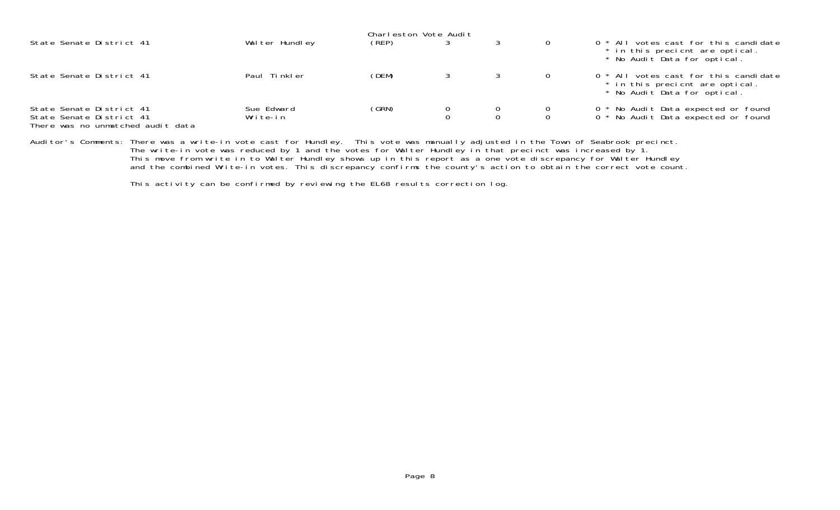|                                                                                           |                        | Charleston Vote Audit |                                      |               |                                                                                                          |
|-------------------------------------------------------------------------------------------|------------------------|-----------------------|--------------------------------------|---------------|----------------------------------------------------------------------------------------------------------|
| State Senate District 41                                                                  | Walter Hundley         | (REP)                 |                                      |               | 0 * All votes cast for this candidate<br>* in this precient are optical.<br>* No Audit Data for optical. |
| State Senate District 41                                                                  | Paul Tinkler           | (DEM)                 |                                      |               | 0 * All votes cast for this candidate<br>* in this precient are optical.<br>* No Audit Data for optical. |
| State Senate District 41<br>State Senate District 41<br>There was no unmatched audit data | Sue Edward<br>Write-in | (GRN)                 | $\begin{matrix} 0 \\ 0 \end{matrix}$ | $\frac{0}{0}$ | 0 * No Audit Data expected or found<br>0 * No Audit Data expected or found                               |

Auditor's Comments: There was a write-in vote cast for Hundley. This vote was manually adjusted in the Town of Seabrook precinct. The write-in vote was reduced by 1 and the votes for Walter Hundley in that precinct was increased by 1. This move from write in to Walter Hundley shows up in this report as a one vote discrepancy for Walter Hundley and the combined Write-in votes. This discrepancy confirms the county's action to obtain the correct vote count

This activity can be confirmed by reviewing the EL68 results correction log.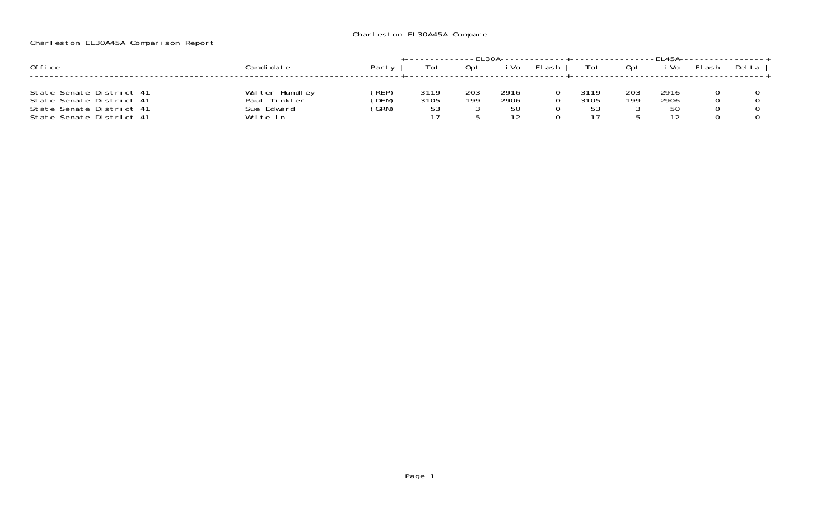## Charleston EL30A45A Compare

## Charleston EL30A45A Comparison Report

| Office                                                                                                       | Candi date                                               | Party                   | Tot                | 0pt        | Vo                        | <sup>म</sup> ash | Tot          | 0pt        | i Vo               | FI ash | Del ta |
|--------------------------------------------------------------------------------------------------------------|----------------------------------------------------------|-------------------------|--------------------|------------|---------------------------|------------------|--------------|------------|--------------------|--------|--------|
| State Senate District 41<br>State Senate District 41<br>State Senate District 41<br>State Senate District 41 | Walter Hundley<br>Paul Tinkler<br>Sue Edward<br>Write-in | (REP)<br>(DEM)<br>(GRN) | 3119<br>3105<br>53 | 203<br>199 | 2916<br>2906<br>50<br>1 C |                  | 3119<br>3105 | 203<br>199 | 2916<br>2906<br>50 |        |        |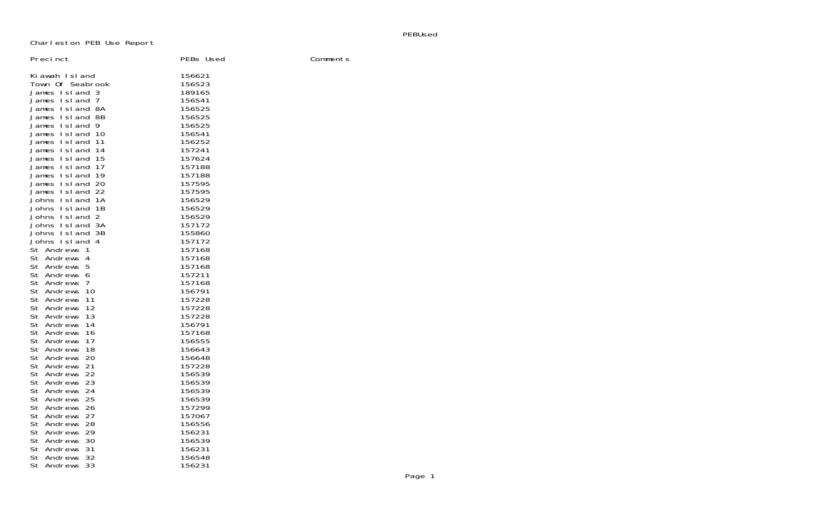PEBUsed

Charleston PEB Use Report

| Precinct                                                                                                                                                                                                                                                                                                                                                                                                                                                                                                                                                                                                                                                                                                                                                                                                                                 | PEBs Used                                                                                                                                                                                                                                                                                                                                                                                                              | Comments |
|------------------------------------------------------------------------------------------------------------------------------------------------------------------------------------------------------------------------------------------------------------------------------------------------------------------------------------------------------------------------------------------------------------------------------------------------------------------------------------------------------------------------------------------------------------------------------------------------------------------------------------------------------------------------------------------------------------------------------------------------------------------------------------------------------------------------------------------|------------------------------------------------------------------------------------------------------------------------------------------------------------------------------------------------------------------------------------------------------------------------------------------------------------------------------------------------------------------------------------------------------------------------|----------|
| Kiawah Island<br>Town Of Seabrook<br>James Island 3<br>James Island 7<br>James Island 8A<br>James Island 8B<br>James Island 9<br>James Island 10<br>James Island<br>-11<br>James Island<br>-14<br>James Island<br>-15<br>James Island<br>- 17<br>James Island<br>-19<br>James Island 20<br>James Island 22<br>Johns Island 1A<br>Johns Island<br>- 1 B<br>Johns Island 2<br>Johns Island 3A<br>Johns Island 3B<br>Johns Island 4<br>St Andrews<br>-1<br>St Andrews 4<br>St Andrews 5<br>St Andrews<br>-6<br>St Andrews<br>7<br>St Andrews<br>10<br>St Andrews<br>11<br>St Andrews<br>12<br>St Andrews<br>13<br>St Andrews<br>14<br>St Andrews<br>16<br>St Andrews<br>17<br>St Andrews<br>18<br>St Andrews<br>20<br>St Andrews<br>21<br>22<br>St Andrews<br>St Andrews<br>-23<br>St Andrews<br>24<br>25<br>St Andrews<br>St Andrews<br>26 | 156621<br>156523<br>189165<br>156541<br>156525<br>156525<br>156525<br>156541<br>156252<br>157241<br>157624<br>157188<br>157188<br>157595<br>157595<br>156529<br>156529<br>156529<br>157172<br>155860<br>157172<br>157168<br>157168<br>157168<br>157211<br>157168<br>156791<br>157228<br>157228<br>157228<br>156791<br>157168<br>156555<br>156643<br>156648<br>157228<br>156539<br>156539<br>156539<br>156539<br>157299 |          |
| St Andrews<br>27<br>St Andrews<br>-28<br>St Andrews<br>29<br>St Andrews<br>-30                                                                                                                                                                                                                                                                                                                                                                                                                                                                                                                                                                                                                                                                                                                                                           | 157067<br>156556<br>156231<br>156539                                                                                                                                                                                                                                                                                                                                                                                   |          |
| St Andrews<br>31<br>St Andrews<br>32<br>St Andrews<br>33                                                                                                                                                                                                                                                                                                                                                                                                                                                                                                                                                                                                                                                                                                                                                                                 | 156231<br>156548<br>156231                                                                                                                                                                                                                                                                                                                                                                                             |          |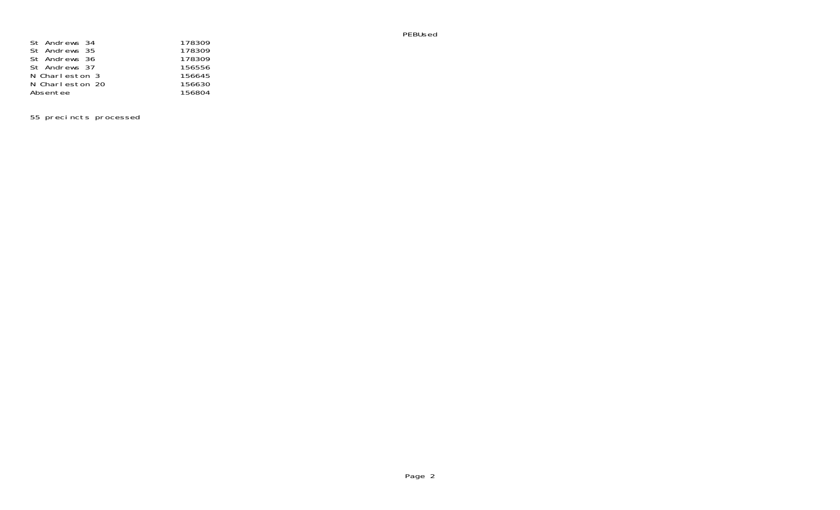PEBUsed

| St Andrews 34   | 178309 |
|-----------------|--------|
| St Andrews 35   | 178309 |
| St Andrews 36   | 178309 |
| St Andrews 37   | 156556 |
| N Charleston 3  | 156645 |
| N Charleston 20 | 156630 |
| Absentee        | 156804 |

55 precincts processed